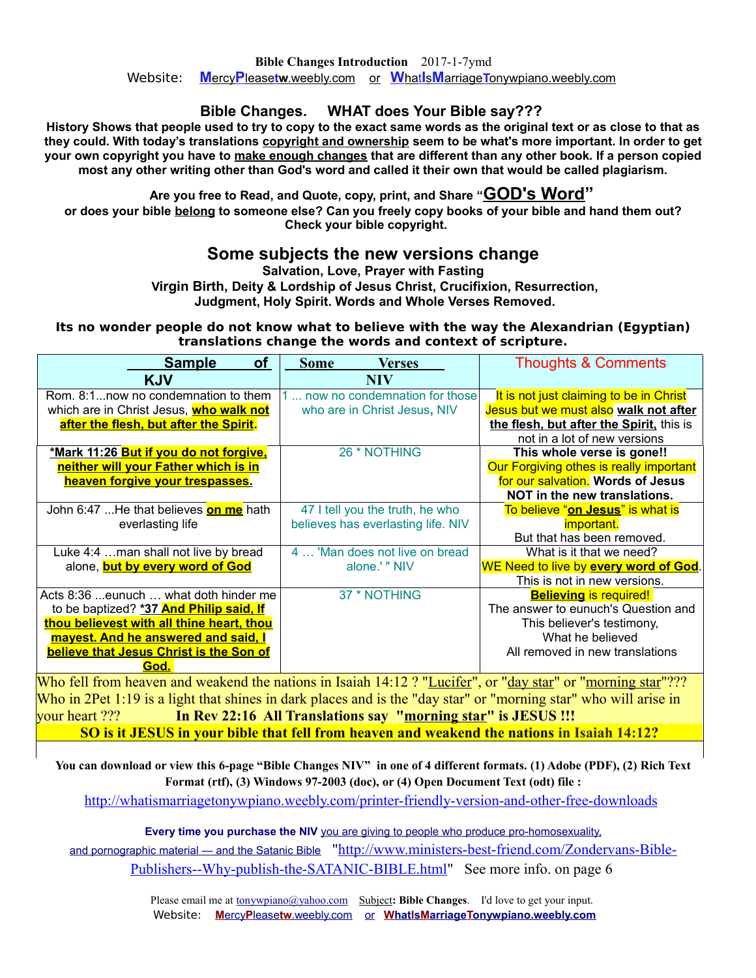## **Bible Changes. WHAT does Your Bible say???**

**History Shows that people used to try to copy to the exact same words as the original text or as close to that as they could. With today's translations copyright and ownership seem to be what's more important. In order to get your own copyright you have to make enough changes that are different than any other book. If a person copied most any other writing other than God's word and called it their own that would be called plagiarism.**

**Are you free to Read, and Quote, copy, print, and Share "GOD's Word"**

**or does your bible belong to someone else? Can you freely copy books of your bible and hand them out? Check your bible copyright.** 

## **Some subjects the new versions change**

**Salvation, Love, Prayer with Fasting**

 **Virgin Birth, Deity & Lordship of Jesus Christ, Crucifixion, Resurrection,**

 **Judgment, Holy Spirit. Words and Whole Verses Removed.**

#### **Its no wonder people do not know what to believe with the way the Alexandrian (Egyptian) translations change the words and context of scripture.**

| <b>of</b><br><b>Sample</b>                     | <b>Some</b><br><b>Verses</b>       | <b>Thoughts &amp; Comments</b>           |
|------------------------------------------------|------------------------------------|------------------------------------------|
| <b>KJV</b>                                     | <b>NIV</b>                         |                                          |
| Rom. 8:1now no condemnation to them            | now no condemnation for those      | It is not just claiming to be in Christ  |
| which are in Christ Jesus, <b>who walk not</b> | who are in Christ Jesus, NIV       | Jesus but we must also walk not after    |
| after the flesh, but after the Spirit.         |                                    | the flesh, but after the Spirit, this is |
|                                                |                                    | not in a lot of new versions             |
| <u>*Mark 11:26 But if you do not forgive,</u>  | 26 * NOTHING                       | This whole verse is gone!!               |
| neither will your Father which is in           |                                    | Our Forgiving othes is really important  |
| heaven forgive your trespasses.                |                                    | for our salvation. Words of Jesus        |
|                                                |                                    | NOT in the new translations.             |
| John 6:47 He that believes on me hath          | 47 I tell you the truth, he who    | To believe "on Jesus" is what is         |
| everlasting life                               | believes has everlasting life. NIV | <i>important.</i>                        |
|                                                |                                    | But that has been removed.               |
| Luke 4:4  man shall not live by bread          | 4  'Man does not live on bread     | What is it that we need?                 |
| alone, <b>but by every word of God</b>         | alone.' " NIV                      | WE Need to live by every word of God.    |
|                                                |                                    | This is not in new versions.             |
| Acts 8:36 eunuch  what doth hinder me          | 37 * NOTHING                       | <b>Believing is required!</b>            |
| to be baptized? *37 And Philip said, If        |                                    | The answer to eunuch's Question and      |
| thou believest with all thine heart, thou      |                                    | This believer's testimony,               |
| mayest. And he answered and said, I            |                                    | What he believed                         |
| believe that Jesus Christ is the Son of        |                                    | All removed in new translations          |
| God.                                           |                                    |                                          |

Who fell from heaven and weakend the nations in Isaiah 14:12 ? "Lucifer", or "day star" or "morning star"??? Who in 2Pet 1:19 is a light that shines in dark places and is the "day star" or "morning star" who will arise in your heart ??? **In Rev 22:16 All Translations say "morning star" is JESUS !!! SO is it JESUS in your bible that fell from heaven and weakend the nations in Isaiah 14:12?**

**You can download or view this 6-page "Bible Changes NIV" in one of 4 different formats. (1) Adobe (PDF), (2) Rich Text Format (rtf), (3) Windows 97-2003 (doc), or (4) Open Document Text (odt) file :**

<http://whatismarriagetonywpiano.weebly.com/printer-friendly-version-and-other-free-downloads>

**Every time you purchase the NIV** you are giving to people who produce pro-homosexuality, and pornographic material — [and the Satanic Bible](http://www.ministers-best-friend.com/Zondervans-Bible-Publishers--Why-publish-the-SATANIC-BIBLE.html) ["http://www.ministers-best-friend.com/Zondervans-Bible-](http://www.ministers-best-friend.com/Zondervans-Bible-Publishers--Why-publish-the-SATANIC-BIBLE.html)[Publishers--Why-publish-the-SATANIC-BIBLE.html"](http://www.ministers-best-friend.com/Zondervans-Bible-Publishers--Why-publish-the-SATANIC-BIBLE.html) See more info. on page 6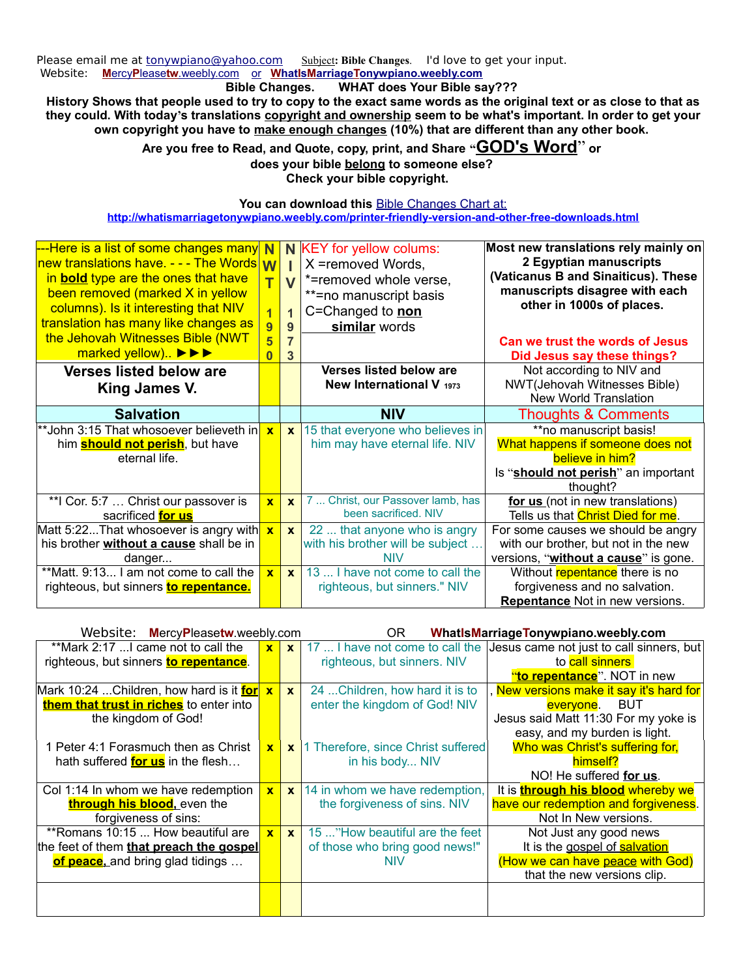Please email me at [tonywpiano@yahoo.com](mailto:tonywpiano@yahoo.com) Subject: Bible Changes. I'd love to get your input. Website: **Mercy Pleasetw**.weebly.com or **WhatIs Marriage Tonywpiano.weebly.com** 

### **Bible Changes. WHAT does Your Bible say???**

**History Shows that people used to try to copy to the exact same words as the original text or as close to that as they could. With today's translations copyright and ownership seem to be what's important. In order to get your own copyright you have to make enough changes (10%) that are different than any other book.** 

> **Are you free to Read, and Quote, copy, print, and Share "GOD's Word**" **or does your bible belong to someone else? Check your bible copyright.**

> > You can download this **[Bible Changes Chart at:](http://whatismarriagetonywpiano.weebly.com/printer-friendly-version-and-other-free-downloads)**

#### **<http://whatismarriagetonywpiano.weebly.com/printer-friendly-version-and-other-free-downloads.html>**

| ---Here is a list of some changes many<br>new translations have. - - - The Words<br>in <b>bold</b> type are the ones that have<br>been removed (marked X in yellow<br>columns). Is it interesting that NIV<br>translation has many like changes as<br>the Jehovah Witnesses Bible (NWT | N<br><b>W</b><br>$\overline{\mathsf{T}}$<br>$\overline{1}$<br>$\overline{9}$<br>$\overline{\mathbf{5}}$ | $\mathbf V$<br>$\overline{1}$<br>9<br>$\overline{7}$ | N KEY for yellow colums:<br>X =removed Words,<br>*=removed whole verse,<br>**=no manuscript basis<br>C=Changed to non<br>similar words | Most new translations rely mainly on<br>2 Egyptian manuscripts<br>(Vaticanus B and Sinaiticus). These<br>manuscripts disagree with each<br>other in 1000s of places. |
|----------------------------------------------------------------------------------------------------------------------------------------------------------------------------------------------------------------------------------------------------------------------------------------|---------------------------------------------------------------------------------------------------------|------------------------------------------------------|----------------------------------------------------------------------------------------------------------------------------------------|----------------------------------------------------------------------------------------------------------------------------------------------------------------------|
| marked yellow) $\blacktriangleright \blacktriangleright \blacktriangleright$                                                                                                                                                                                                           | $\overline{\mathbf{0}}$                                                                                 | 3                                                    |                                                                                                                                        | Can we trust the words of Jesus<br>Did Jesus say these things?                                                                                                       |
| <b>Verses listed below are</b><br>King James V.                                                                                                                                                                                                                                        |                                                                                                         |                                                      | Verses listed below are<br><b>New International V 1973</b>                                                                             | Not according to NIV and<br>NWT(Jehovah Witnesses Bible)<br>New World Translation                                                                                    |
| <b>Salvation</b>                                                                                                                                                                                                                                                                       |                                                                                                         |                                                      | <b>NIV</b>                                                                                                                             | <b>Thoughts &amp; Comments</b>                                                                                                                                       |
| **John 3:15 That whosoever believeth in                                                                                                                                                                                                                                                | $\overline{\mathbf{x}}$                                                                                 | $\mathbf{x}$                                         | 15 that everyone who believes in                                                                                                       | **no manuscript basis!                                                                                                                                               |
| him <b>should not perish</b> , but have                                                                                                                                                                                                                                                |                                                                                                         |                                                      | him may have eternal life. NIV                                                                                                         | What happens if someone does not                                                                                                                                     |
| eternal life.                                                                                                                                                                                                                                                                          |                                                                                                         |                                                      |                                                                                                                                        | believe in him?                                                                                                                                                      |
|                                                                                                                                                                                                                                                                                        |                                                                                                         |                                                      |                                                                                                                                        | Is "should not perish" an important                                                                                                                                  |
|                                                                                                                                                                                                                                                                                        |                                                                                                         |                                                      |                                                                                                                                        | thought?                                                                                                                                                             |
| **I Cor. 5:7  Christ our passover is<br>sacrificed for us                                                                                                                                                                                                                              | $\mathbf{x}$                                                                                            | $\mathbf{x}$                                         | 7  Christ, our Passover lamb, has<br>been sacrificed. NIV                                                                              | for us (not in new translations)<br>Tells us that Christ Died for me.                                                                                                |
| Matt 5:22That whosoever is angry with                                                                                                                                                                                                                                                  | $\overline{\mathbf{x}}$                                                                                 | $\mathbf{x}$                                         | 22  that anyone who is angry                                                                                                           | For some causes we should be angry                                                                                                                                   |
| his brother without a cause shall be in                                                                                                                                                                                                                                                |                                                                                                         |                                                      | with his brother will be subject                                                                                                       | with our brother, but not in the new                                                                                                                                 |
| danger                                                                                                                                                                                                                                                                                 |                                                                                                         |                                                      | <b>NIV</b>                                                                                                                             | versions, "without a cause" is gone.                                                                                                                                 |
| **Matt. 9:13 I am not come to call the                                                                                                                                                                                                                                                 | $\mathbf{x}$                                                                                            | $\mathbf{x}$                                         | 13  I have not come to call the                                                                                                        | Without repentance there is no                                                                                                                                       |
| righteous, but sinners to repentance.                                                                                                                                                                                                                                                  |                                                                                                         |                                                      | righteous, but sinners." NIV                                                                                                           | forgiveness and no salvation.                                                                                                                                        |
|                                                                                                                                                                                                                                                                                        |                                                                                                         |                                                      |                                                                                                                                        |                                                                                                                                                                      |

| Website:<br>MercyPleasetw.weebly.com      |              |              | OR.                                | WhatIsMarriageTonywpiano.weebly.com       |
|-------------------------------------------|--------------|--------------|------------------------------------|-------------------------------------------|
| **Mark 2:17  came not to call the         | $\mathbf{x}$ | $\mathbf{x}$ | 17  I have not come to call the    | Jesus came not just to call sinners, but  |
| righteous, but sinners to repentance.     |              |              | righteous, but sinners. NIV        | to call sinners                           |
|                                           |              |              |                                    | "to repentance". NOT in new               |
| Mark 10:24 Children, how hard is it for x |              | $\mathbf{x}$ | 24  Children, how hard it is to    | , New versions make it say it's hard for  |
| them that trust in riches to enter into   |              |              | enter the kingdom of God! NIV      | everyone. BUT                             |
| the kingdom of God!                       |              |              |                                    | Jesus said Matt 11:30 For my yoke is      |
|                                           |              |              |                                    | easy, and my burden is light.             |
| 1 Peter 4:1 Forasmuch then as Christ      | $\mathbf{x}$ | $\mathbf{x}$ | 1 Therefore, since Christ suffered | Who was Christ's suffering for,           |
| hath suffered <b>for us</b> in the flesh  |              |              | in his body NIV                    | himself?                                  |
|                                           |              |              |                                    | NO! He suffered for us.                   |
| Col 1:14 In whom we have redemption       | $\mathbf{x}$ | $\mathbf{x}$ | 14 in whom we have redemption,     | It is <b>through his blood</b> whereby we |
| through his blood, even the               |              |              | the forgiveness of sins. NIV       | have our redemption and forgiveness.      |
| forgiveness of sins:                      |              |              |                                    | Not In New versions.                      |
| ** Romans 10:15  How beautiful are        | $\mathbf{x}$ | $\mathbf{x}$ | 15 "How beautiful are the feet     | Not Just any good news                    |
| the feet of them that preach the gospel   |              |              | of those who bring good news!"     | It is the gospel of salvation             |
| of peace, and bring glad tidings          |              |              | <b>NIV</b>                         | (How we can have peace with God)          |
|                                           |              |              |                                    | that the new versions clip.               |
|                                           |              |              |                                    |                                           |
|                                           |              |              |                                    |                                           |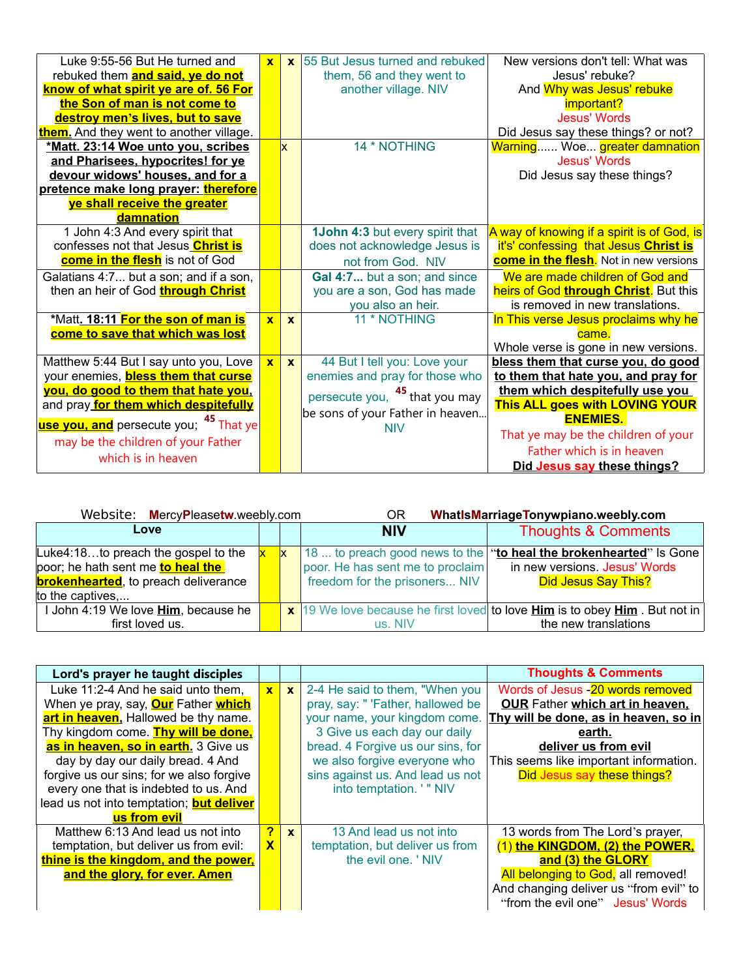| Luke 9:55-56 But He turned and<br>rebuked them <b>and said, ye do not</b> | $\mathbf{x}$ | $\mathbf{x}$ | <b>55 But Jesus turned and rebuked</b><br>them, 56 and they went to | New versions don't tell: What was<br>Jesus' rebuke? |
|---------------------------------------------------------------------------|--------------|--------------|---------------------------------------------------------------------|-----------------------------------------------------|
| know of what spirit ye are of. 56 For                                     |              |              | another village. NIV                                                | And Why was Jesus' rebuke                           |
| the Son of man is not come to                                             |              |              |                                                                     | important?                                          |
| destroy men's lives, but to save                                          |              |              |                                                                     | <b>Jesus' Words</b>                                 |
| them. And they went to another village.                                   |              |              |                                                                     | Did Jesus say these things? or not?                 |
| *Matt. 23:14 Woe unto you, scribes                                        |              | <b>x</b>     | 14 * NOTHING                                                        | Warning Woe greater damnation                       |
| and Pharisees, hypocrites! for ye                                         |              |              |                                                                     | <b>Jesus' Words</b>                                 |
| devour widows' houses, and for a                                          |              |              |                                                                     | Did Jesus say these things?                         |
| pretence make long prayer: therefore                                      |              |              |                                                                     |                                                     |
| ye shall receive the greater                                              |              |              |                                                                     |                                                     |
| damnation                                                                 |              |              |                                                                     |                                                     |
| 1 John 4:3 And every spirit that                                          |              |              | <b>1John 4:3 but every spirit that</b>                              | A way of knowing if a spirit is of God, is          |
| confesses not that Jesus Christ is                                        |              |              | does not acknowledge Jesus is                                       | it's' confessing that Jesus Christ is               |
| come in the flesh is not of God                                           |              |              | not from God. NIV                                                   | <b>come in the flesh.</b> Not in new versions       |
| Galatians 4:7 but a son; and if a son,                                    |              |              | Gal 4:7 but a son; and since                                        | We are made children of God and                     |
| then an heir of God through Christ                                        |              |              | you are a son, God has made                                         | heirs of God through Christ. But this               |
|                                                                           |              |              | you also an heir.                                                   | is removed in new translations.                     |
| *Matt. 18:11 For the son of man is                                        | $\mathbf{x}$ | $\mathbf{x}$ | 11 * NOTHING                                                        | In This verse Jesus proclaims why he                |
| come to save that which was lost                                          |              |              |                                                                     | came.                                               |
|                                                                           |              |              |                                                                     | Whole verse is gone in new versions.                |
| Matthew 5:44 But I say unto you, Love                                     | $\mathbf{x}$ | $\mathbf{x}$ | 44 But I tell you: Love your                                        | bless them that curse you, do good                  |
| your enemies, <b>bless them that curse</b>                                |              |              | enemies and pray for those who                                      | to them that hate you, and pray for                 |
| you, do good to them that hate you,                                       |              |              | persecute you, <sup>45</sup> that you may                           | them which despitefully use you                     |
| and pray for them which despitefully                                      |              |              | be sons of your Father in heaven                                    | This ALL goes with LOVING YOUR                      |
| use you, and persecute you; <sup>45</sup> That ye                         |              |              | <b>NIV</b>                                                          | <b>ENEMIES.</b>                                     |
| may be the children of your Father                                        |              |              |                                                                     | That ye may be the children of your                 |
| which is in heaven                                                        |              |              |                                                                     | Father which is in heaven                           |
|                                                                           |              |              |                                                                     | Did Jesus say these things?                         |

| Website: MercyPleasetw.weebly.com            |              | ΟR                               | WhatIsMarriageTonywpiano.weebly.com                                                                     |
|----------------------------------------------|--------------|----------------------------------|---------------------------------------------------------------------------------------------------------|
| Love                                         |              | <b>NIV</b>                       | <b>Thoughts &amp; Comments</b>                                                                          |
| Luke4:18to preach the gospel to the          | $\mathsf{X}$ |                                  | 18  to preach good news to the "to heal the brokenhearted" Is Gone                                      |
| poor; he hath sent me <b>to heal the</b>     |              | poor. He has sent me to proclaim | in new versions. Jesus' Words                                                                           |
| <b>brokenhearted</b> , to preach deliverance |              | freedom for the prisoners NIV    | Did Jesus Say This?                                                                                     |
| to the captives                              |              |                                  |                                                                                                         |
| I John 4:19 We love Him, because he          |              |                                  | $\vert x \vert$ 19 We love because he first loved to love <b>Him</b> is to obey <b>Him</b> . But not in |
| first loved us.                              |              | us. NIV                          | the new translations                                                                                    |

| Lord's prayer he taught disciples                 |                         |              |                                   | <b>Thoughts &amp; Comments</b>         |
|---------------------------------------------------|-------------------------|--------------|-----------------------------------|----------------------------------------|
| Luke 11:2-4 And he said unto them,                | $\mathbf{x}$            | $\mathbf{x}$ | 2-4 He said to them, "When you    | Words of Jesus - 20 words removed      |
| When ye pray, say, <b>Our</b> Father <b>which</b> |                         |              | pray, say: " 'Father, hallowed be | <b>OUR Father which art in heaven,</b> |
| art in heaven, Hallowed be thy name.              |                         |              | your name, your kingdom come.     | Thy will be done, as in heaven, so in  |
| Thy kingdom come. Thy will be done,               |                         |              | 3 Give us each day our daily      | earth.                                 |
| as in heaven, so in earth. 3 Give us              |                         |              | bread. 4 Forgive us our sins, for | deliver us from evil                   |
| day by day our daily bread. 4 And                 |                         |              | we also forgive everyone who      | This seems like important information. |
| forgive us our sins; for we also forgive          |                         |              | sins against us. And lead us not  | Did Jesus say these things?            |
| every one that is indebted to us. And             |                         |              | into temptation. ' " NIV          |                                        |
| lead us not into temptation; <b>but deliver</b>   |                         |              |                                   |                                        |
| us from evil                                      |                         |              |                                   |                                        |
| Matthew 6:13 And lead us not into                 | $\overline{P}$          | $\mathbf{x}$ | 13 And lead us not into           | 13 words from The Lord's prayer,       |
| temptation, but deliver us from evil:             | $\overline{\mathbf{X}}$ |              | temptation, but deliver us from   | (1) the KINGDOM, (2) the POWER,        |
| thine is the kingdom, and the power,              |                         |              | the evil one. 'NIV                | and (3) the GLORY                      |
| and the glory, for ever. Amen                     |                         |              |                                   | All belonging to God, all removed!     |
|                                                   |                         |              |                                   | And changing deliver us "from evil" to |
|                                                   |                         |              |                                   | "from the evil one" Jesus' Words       |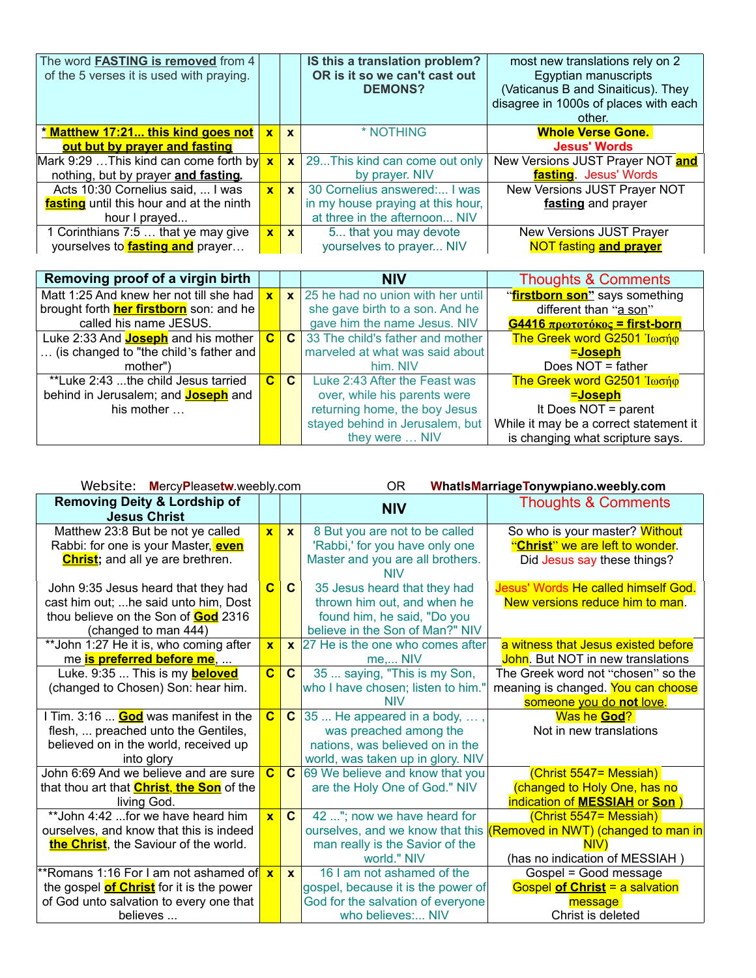| The word FASTING is removed from 4<br>of the 5 verses it is used with praying. |              |              | IS this a translation problem?<br>OR is it so we can't cast out<br><b>DEMONS?</b> | most new translations rely on 2<br>Egyptian manuscripts<br>(Vaticanus B and Sinaiticus). They<br>disagree in 1000s of places with each<br>other. |
|--------------------------------------------------------------------------------|--------------|--------------|-----------------------------------------------------------------------------------|--------------------------------------------------------------------------------------------------------------------------------------------------|
| <u>* Matthew 17:21 this kind goes not</u>                                      | $\mathbf{x}$ | $\mathbf{x}$ | * NOTHING                                                                         | <b>Whole Verse Gone.</b>                                                                                                                         |
| out but by prayer and fasting                                                  |              |              |                                                                                   | <b>Jesus' Words</b>                                                                                                                              |
| Mark 9:29  This kind can come forth by $x$                                     |              | $\mathbf{x}$ | 29This kind can come out only                                                     | New Versions JUST Prayer NOT and                                                                                                                 |
| nothing, but by prayer and fasting.                                            |              |              | by prayer. NIV                                                                    | fasting. Jesus' Words                                                                                                                            |
| Acts 10:30 Cornelius said,  I was                                              | $\mathbf{x}$ | $\mathbf{x}$ | 30 Cornelius answered: I was                                                      | New Versions JUST Prayer NOT                                                                                                                     |
| fasting until this hour and at the ninth                                       |              |              | in my house praying at this hour,                                                 | fasting and prayer                                                                                                                               |
| hour I prayed                                                                  |              |              | at three in the afternoon NIV                                                     |                                                                                                                                                  |
| 1 Corinthians 7:5  that ye may give                                            | $\mathbf{x}$ | $\mathbf{x}$ | 5 that you may devote                                                             | New Versions JUST Prayer                                                                                                                         |
| yourselves to <b>fasting and</b> prayer                                        |              |              | yourselves to prayer NIV                                                          | <b>NOT fasting and prayer</b>                                                                                                                    |

| Removing proof of a virgin birth               |              |              | <b>NIV</b>                         | <b>Thoughts &amp; Comments</b>         |
|------------------------------------------------|--------------|--------------|------------------------------------|----------------------------------------|
| Matt 1:25 And knew her not till she had        | $\mathbf{x}$ | $\mathbf{x}$ | 25 he had no union with her until  | "firstborn son" says something         |
| brought forth <b>her firstborn</b> son: and he |              |              | she gave birth to a son. And he    | different than "a son"                 |
| called his name JESUS.                         |              |              | gave him the name Jesus. NIV       | $G4416$ πρωτοτόκος = first-born        |
| Luke 2:33 And <b>Joseph</b> and his mother     | $\mathbf{C}$ |              | C 33 The child's father and mother | The Greek word G2501 Ιωσήφ             |
| (is changed to "the child's father and         |              |              | marveled at what was said about    | =Joseph                                |
| mother")                                       |              |              | him. NIV                           | Does NOT = father                      |
| **Luke 2:43 the child Jesus tarried            | $\mathbf{C}$ | C.           | Luke 2:43 After the Feast was      | The Greek word G2501 Ιωσήφ             |
| behind in Jerusalem; and <b>Joseph</b> and     |              |              | over, while his parents were       | <u>=Joseph</u>                         |
| his mother $\ldots$                            |              |              | returning home, the boy Jesus      | It Does NOT = parent                   |
|                                                |              |              | stayed behind in Jerusalem, but    | While it may be a correct statement it |
|                                                |              |              | they were  NIV                     | is changing what scripture says.       |

| Website: MercyPleasetw.weebly.com                              |                         |              | <b>OR</b><br>WhatIsMarriageTonywpiano.weebly.com |                                           |  |
|----------------------------------------------------------------|-------------------------|--------------|--------------------------------------------------|-------------------------------------------|--|
| <b>Removing Deity &amp; Lordship of</b><br><b>Jesus Christ</b> |                         |              | <b>NIV</b>                                       | <b>Thoughts &amp; Comments</b>            |  |
| Matthew 23:8 But be not ye called                              | $\mathbf{x}$            | $\mathbf{x}$ | 8 But you are not to be called                   | So who is your master? Without            |  |
| Rabbi: for one is your Master, even                            |                         |              | 'Rabbi,' for you have only one                   | "Christ" we are left to wonder.           |  |
| <b>Christ</b> ; and all ye are brethren.                       |                         |              | Master and you are all brothers.                 | Did Jesus say these things?               |  |
|                                                                |                         |              | <b>NIV</b>                                       |                                           |  |
| John 9:35 Jesus heard that they had                            | $\overline{\mathbf{C}}$ | $\mathbf{C}$ | 35 Jesus heard that they had                     | Jesus' Words He called himself God.       |  |
| cast him out;  he said unto him, Dost                          |                         |              | thrown him out, and when he                      | New versions reduce him to man.           |  |
| thou believe on the Son of God 2316                            |                         |              | found him, he said, "Do you                      |                                           |  |
| (changed to man 444)                                           |                         |              | believe in the Son of Man?" NIV                  |                                           |  |
| ** John 1:27 He it is, who coming after                        | $\overline{\mathbf{x}}$ | $\mathbf{x}$ | 27 He is the one who comes after                 | a witness that Jesus existed before       |  |
| me is preferred before me,                                     |                         |              | $me$ NIV                                         | <b>John</b> . But NOT in new translations |  |
| Luke. 9:35  This is my <b>beloved</b>                          | $\overline{\mathbf{C}}$ | $\mathbf{C}$ | 35  saying, "This is my Son,                     | The Greek word not "chosen" so the        |  |
| (changed to Chosen) Son: hear him.                             |                         |              | who I have chosen; listen to him."               | meaning is changed. You can choose        |  |
|                                                                |                         |              | <b>NIV</b>                                       | someone you do not love.                  |  |
| I Tim. 3:16 <b>God</b> was manifest in the                     | $\overline{\mathbf{c}}$ | $\mathbf{C}$ | 35  He appeared in a body, ,                     | Was he God?                               |  |
| flesh,  preached unto the Gentiles,                            |                         |              | was preached among the                           | Not in new translations                   |  |
| believed on in the world, received up                          |                         |              | nations, was believed on in the                  |                                           |  |
| into glory                                                     |                         |              | world, was taken up in glory. NIV                |                                           |  |
| John 6:69 And we believe and are sure                          | $\overline{\mathbf{c}}$ | $\mathbf{C}$ | 69 We believe and know that you                  | (Christ 5547= Messiah)                    |  |
| that thou art that <b>Christ</b> , the Son of the              |                         |              | are the Holy One of God." NIV                    | (changed to Holy One, has no              |  |
| living God.                                                    |                         |              |                                                  | indication of MESSIAH or Son              |  |
| ** John 4:42  for we have heard him                            | $\overline{\mathbf{x}}$ | $\mathbf{C}$ | 42 "; now we have heard for                      | (Christ 5547 = Messiah)                   |  |
| ourselves, and know that this is indeed                        |                         |              | ourselves, and we know that this                 | (Removed in NWT) (changed to man in       |  |
| the Christ, the Saviour of the world.                          |                         |              | man really is the Savior of the                  | NIV)                                      |  |
|                                                                |                         |              | world." NIV                                      | (has no indication of MESSIAH)            |  |
| **Romans 1:16 For I am not ashamed of                          | $\mathbf{x}$            | $\mathbf{x}$ | 16 I am not ashamed of the                       | Gospel = Good message                     |  |
| the gospel <b>of Christ</b> for it is the power                |                         |              | gospel, because it is the power of               | <b>Gospel of Christ = a salvation</b>     |  |
| of God unto salvation to every one that                        |                         |              | God for the salvation of everyone                | message                                   |  |
| believes                                                       |                         |              | who believes: NIV                                | Christ is deleted                         |  |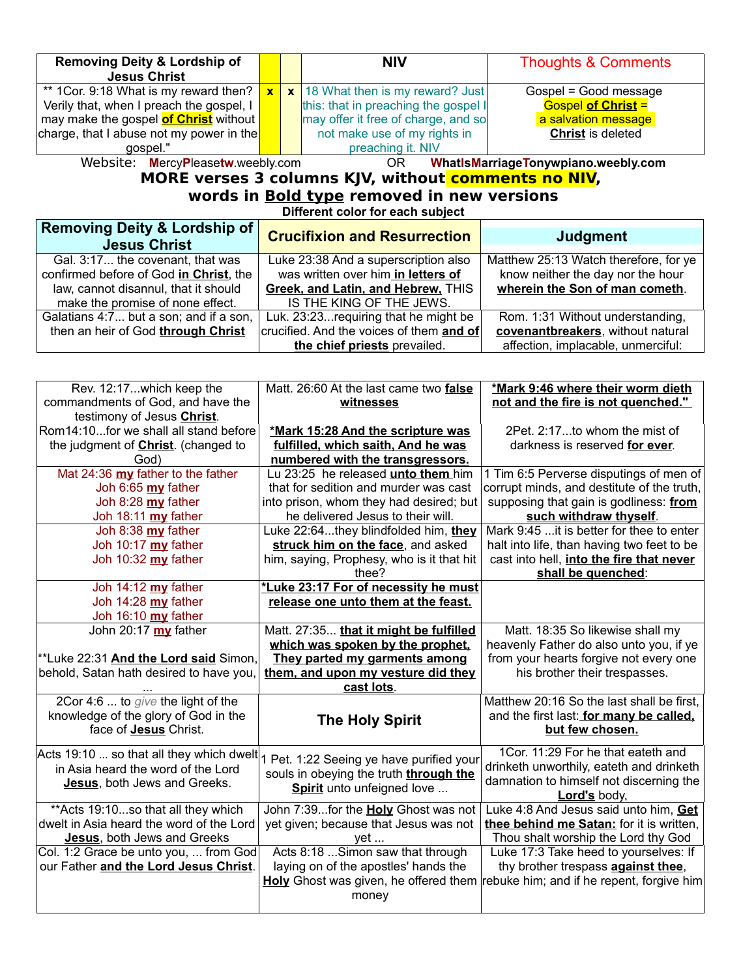| <b>Removing Deity &amp; Lordship of</b><br><b>Jesus Christ</b>                 |              |  | <b>NIV</b>                           | <b>Thoughts &amp; Comments</b> |  |
|--------------------------------------------------------------------------------|--------------|--|--------------------------------------|--------------------------------|--|
| ** 1 Cor. 9:18 What is my reward then? $\vert$                                 | $\mathbf{x}$ |  | $x$ 18 What then is my reward? Just  | Gospel = Good message          |  |
| Verily that, when I preach the gospel, I                                       |              |  | this: that in preaching the gospel I | <b>Gospel of Christ =</b>      |  |
| may make the gospel of Christ without                                          |              |  | may offer it free of charge, and so  | a salvation message            |  |
| charge, that I abuse not my power in the                                       |              |  | not make use of my rights in         | <b>Christ</b> is deleted       |  |
| gospel."                                                                       |              |  | preaching it. NIV                    |                                |  |
| Wobcite: MerevPleasaturwookusem<br>Whatle Marriage Tenumiano weekly com<br>∩D. |              |  |                                      |                                |  |

Website: **M**ercy**P**lease**tw**.weebly.com OR **WhatIsMarriageTonywpiano.weebly.com**

# **MORE verses 3 columns KJV, without comments no NIV, words in Bold type removed in new versions**

**Different color for each subject**

| <b>Removing Deity &amp; Lordship of</b><br><b>Jesus Christ</b> | <b>Crucifixion and Resurrection</b>      | <b>Judgment</b>                       |
|----------------------------------------------------------------|------------------------------------------|---------------------------------------|
| Gal. 3:17 the covenant, that was                               | Luke 23:38 And a superscription also     | Matthew 25:13 Watch therefore, for ye |
| confirmed before of God in Christ, the                         | was written over him in letters of       | know neither the day nor the hour     |
| law, cannot disannul, that it should                           | Greek, and Latin, and Hebrew, THIS       | wherein the Son of man cometh.        |
| make the promise of none effect.                               | IS THE KING OF THE JEWS.                 |                                       |
| Galatians 4:7 but a son; and if a son,                         | Luk. 23:23 requiring that he might be    | Rom. 1:31 Without understanding,      |
| then an heir of God through Christ                             | crucified. And the voices of them and of | covenantbreakers, without natural     |
|                                                                | the chief priests prevailed.             | affection, implacable, unmerciful:    |

| Rev. 12:17which keep the<br>commandments of God, and have the<br>testimony of Jesus Christ.                    | Matt. 26:60 At the last came two false<br>witnesses                                                                                                             | *Mark 9:46 where their worm dieth<br>not and the fire is not quenched."                                                                                        |
|----------------------------------------------------------------------------------------------------------------|-----------------------------------------------------------------------------------------------------------------------------------------------------------------|----------------------------------------------------------------------------------------------------------------------------------------------------------------|
| Rom14:10for we shall all stand before<br>the judgment of <b>Christ</b> . (changed to<br>God)                   | *Mark 15:28 And the scripture was<br>fulfilled, which saith, And he was<br>numbered with the transgressors.                                                     | 2Pet. 2:17to whom the mist of<br>darkness is reserved for ever.                                                                                                |
| Mat 24:36 my father to the father<br>Joh 6:65 my father<br>Joh 8:28 my father<br>Joh 18:11 my father           | Lu 23:25 he released unto them him<br>that for sedition and murder was cast<br>into prison, whom they had desired; but<br>he delivered Jesus to their will.     | 1 Tim 6:5 Perverse disputings of men of<br>corrupt minds, and destitute of the truth,<br>supposing that gain is godliness: from<br>such withdraw thyself.      |
| Joh 8:38 my father<br>Joh 10:17 my father<br>Joh 10:32 my father                                               | Luke 22:64they blindfolded him, they<br>struck him on the face, and asked<br>him, saying, Prophesy, who is it that hit<br>thee?                                 | Mark 9:45  it is better for thee to enter<br>halt into life, than having two feet to be<br>cast into hell, into the fire that never<br>shall be quenched:      |
| Joh 14:12 my father<br>Joh 14:28 my father<br>Joh 16:10 my father                                              | *Luke 23:17 For of necessity he must<br>release one unto them at the feast.                                                                                     |                                                                                                                                                                |
| John 20:17 my father<br>**Luke 22:31 And the Lord said Simon,<br>behold, Satan hath desired to have you,       | Matt. 27:35 that it might be fulfilled<br>which was spoken by the prophet.<br>They parted my garments among<br>them, and upon my vesture did they<br>cast lots. | Matt. 18:35 So likewise shall my<br>heavenly Father do also unto you, if ye<br>from your hearts forgive not every one<br>his brother their trespasses.         |
| 2Cor 4:6  to give the light of the<br>knowledge of the glory of God in the<br>face of Jesus Christ.            | <b>The Holy Spirit</b>                                                                                                                                          | Matthew 20:16 So the last shall be first,<br>and the first last: for many be called.<br>but few chosen.                                                        |
| in Asia heard the word of the Lord<br>Jesus, both Jews and Greeks.                                             | Acts 19:10  so that all they which dwelt $ _1$ Pet. 1:22 Seeing ye have purified your<br>souls in obeying the truth through the<br>Spirit unto unfeigned love   | 1Cor. 11:29 For he that eateth and<br>drinketh unworthily, eateth and drinketh<br>damnation to himself not discerning the<br>Lord's body,                      |
| ** Acts 19:10so that all they which<br>dwelt in Asia heard the word of the Lord<br>Jesus, both Jews and Greeks | John 7:39for the Holy Ghost was not<br>yet given; because that Jesus was not<br>yet                                                                             | Luke 4:8 And Jesus said unto him, Get<br>thee behind me Satan: for it is written,<br>Thou shalt worship the Lord thy God                                       |
| Col. 1:2 Grace be unto you,  from God<br>our Father and the Lord Jesus Christ.                                 | Acts 8:18  Simon saw that through<br>laying on of the apostles' hands the<br>money                                                                              | Luke 17:3 Take heed to yourselves: If<br>thy brother trespass against thee,<br>Holy Ghost was given, he offered them rebuke him; and if he repent, forgive him |